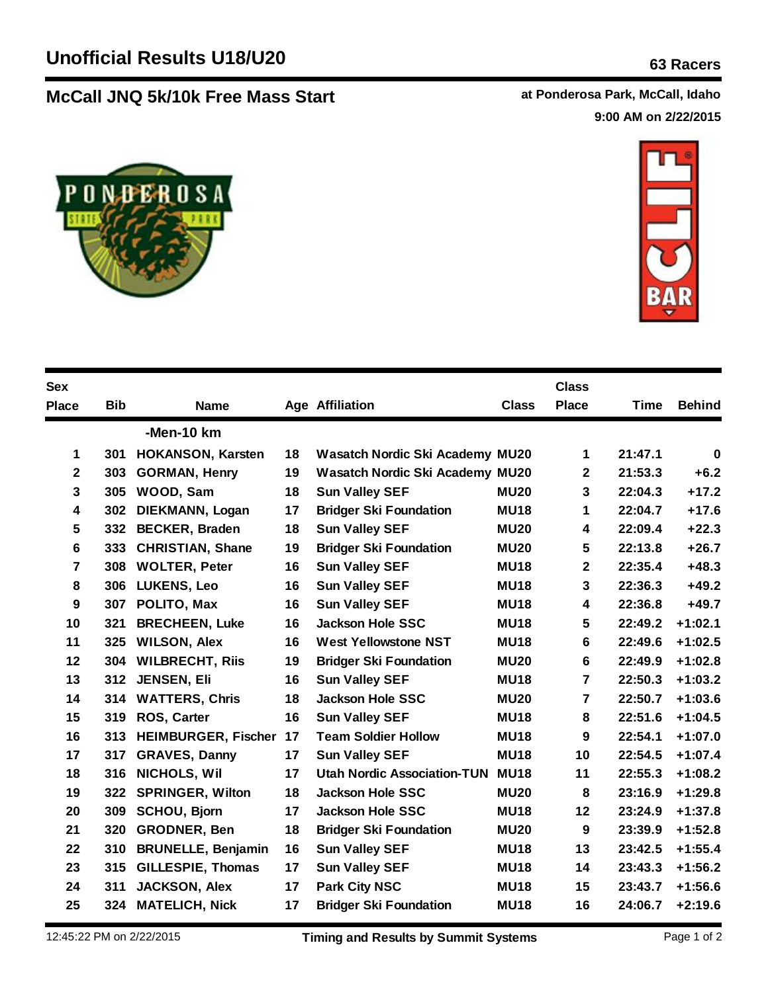## **McCall JNQ 5k/10k Free Mass Start at Ponderosa Park, McCall, Idaho**

**9:00 AM on 2/22/2015**





| <b>Sex</b>     |            |                            |    |                                        |              | <b>Class</b>     |         |               |
|----------------|------------|----------------------------|----|----------------------------------------|--------------|------------------|---------|---------------|
| <b>Place</b>   | <b>Bib</b> | <b>Name</b>                |    | <b>Age Affiliation</b>                 | <b>Class</b> | <b>Place</b>     | Time    | <b>Behind</b> |
|                |            | -Men-10 km                 |    |                                        |              |                  |         |               |
| 1              | 301        | <b>HOKANSON, Karsten</b>   | 18 | Wasatch Nordic Ski Academy MU20        |              | 1                | 21:47.1 | $\mathbf 0$   |
| $\mathbf 2$    | 303        | <b>GORMAN, Henry</b>       | 19 | <b>Wasatch Nordic Ski Academy MU20</b> |              | $\mathbf{2}$     | 21:53.3 | $+6.2$        |
| 3              | 305        | WOOD, Sam                  | 18 | <b>Sun Valley SEF</b>                  | <b>MU20</b>  | 3                | 22:04.3 | $+17.2$       |
| 4              | 302        | DIEKMANN, Logan            | 17 | <b>Bridger Ski Foundation</b>          | <b>MU18</b>  | 1                | 22:04.7 | $+17.6$       |
| 5              |            | 332 BECKER, Braden         | 18 | <b>Sun Valley SEF</b>                  | <b>MU20</b>  | 4                | 22:09.4 | $+22.3$       |
| 6              | 333        | <b>CHRISTIAN, Shane</b>    | 19 | <b>Bridger Ski Foundation</b>          | <b>MU20</b>  | 5                | 22:13.8 | $+26.7$       |
| $\overline{7}$ | 308        | <b>WOLTER, Peter</b>       | 16 | <b>Sun Valley SEF</b>                  | <b>MU18</b>  | $\mathbf{2}$     | 22:35.4 | $+48.3$       |
| 8              | 306        | <b>LUKENS, Leo</b>         | 16 | <b>Sun Valley SEF</b>                  | <b>MU18</b>  | 3                | 22:36.3 | $+49.2$       |
| 9              | 307        | POLITO, Max                | 16 | <b>Sun Valley SEF</b>                  | <b>MU18</b>  | 4                | 22:36.8 | $+49.7$       |
| 10             | 321        | <b>BRECHEEN, Luke</b>      | 16 | <b>Jackson Hole SSC</b>                | <b>MU18</b>  | 5                | 22:49.2 | $+1:02.1$     |
| 11             | 325        | <b>WILSON, Alex</b>        | 16 | <b>West Yellowstone NST</b>            | <b>MU18</b>  | 6                | 22:49.6 | $+1:02.5$     |
| 12             | 304        | <b>WILBRECHT, Riis</b>     | 19 | <b>Bridger Ski Foundation</b>          | <b>MU20</b>  | 6                | 22:49.9 | $+1:02.8$     |
| 13             | 312        | JENSEN, Eli                | 16 | <b>Sun Valley SEF</b>                  | <b>MU18</b>  | $\overline{7}$   | 22:50.3 | $+1:03.2$     |
| 14             | 314        | <b>WATTERS, Chris</b>      | 18 | <b>Jackson Hole SSC</b>                | <b>MU20</b>  | $\overline{7}$   | 22:50.7 | $+1:03.6$     |
| 15             | 319        | <b>ROS, Carter</b>         | 16 | <b>Sun Valley SEF</b>                  | <b>MU18</b>  | 8                | 22:51.6 | $+1:04.5$     |
| 16             | 313        | <b>HEIMBURGER, Fischer</b> | 17 | <b>Team Soldier Hollow</b>             | <b>MU18</b>  | $\boldsymbol{9}$ | 22:54.1 | $+1:07.0$     |
| 17             | 317        | <b>GRAVES, Danny</b>       | 17 | <b>Sun Valley SEF</b>                  | <b>MU18</b>  | 10               | 22:54.5 | $+1:07.4$     |
| 18             | 316        | NICHOLS, Wil               | 17 | <b>Utah Nordic Association-TUN</b>     | <b>MU18</b>  | 11               | 22:55.3 | $+1:08.2$     |
| 19             | 322        | <b>SPRINGER, Wilton</b>    | 18 | <b>Jackson Hole SSC</b>                | <b>MU20</b>  | 8                | 23:16.9 | $+1:29.8$     |
| 20             | 309        | <b>SCHOU, Bjorn</b>        | 17 | <b>Jackson Hole SSC</b>                | <b>MU18</b>  | 12               | 23:24.9 | $+1:37.8$     |
| 21             | 320        | GRODNER, Ben               | 18 | <b>Bridger Ski Foundation</b>          | <b>MU20</b>  | 9                | 23:39.9 | $+1:52.8$     |
| 22             | 310        | <b>BRUNELLE, Benjamin</b>  | 16 | <b>Sun Valley SEF</b>                  | <b>MU18</b>  | 13               | 23:42.5 | $+1:55.4$     |
| 23             | 315        | <b>GILLESPIE, Thomas</b>   | 17 | <b>Sun Valley SEF</b>                  | <b>MU18</b>  | 14               | 23:43.3 | $+1:56.2$     |
| 24             | 311        | <b>JACKSON, Alex</b>       | 17 | <b>Park City NSC</b>                   | <b>MU18</b>  | 15               | 23:43.7 | $+1:56.6$     |
| 25             | 324        | <b>MATELICH, Nick</b>      | 17 | <b>Bridger Ski Foundation</b>          | <b>MU18</b>  | 16               | 24:06.7 | $+2:19.6$     |
|                |            |                            |    |                                        |              |                  |         |               |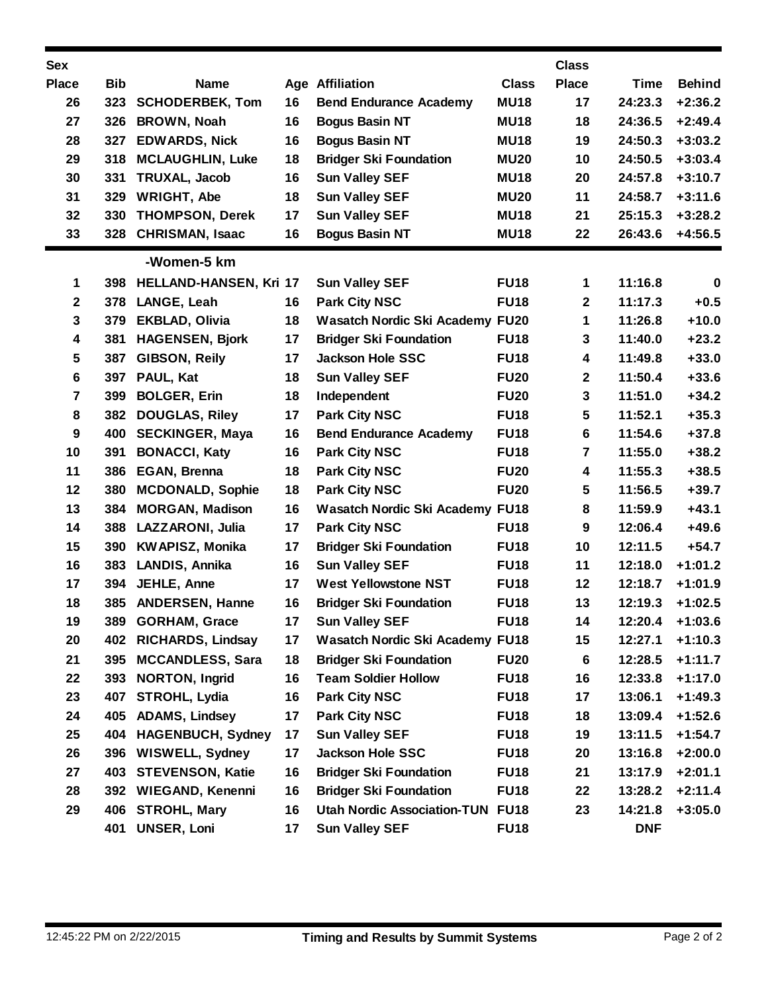| <b>Sex</b>              |            |                            |    |                                        |              | <b>Class</b>     |             |               |
|-------------------------|------------|----------------------------|----|----------------------------------------|--------------|------------------|-------------|---------------|
| <b>Place</b>            | <b>Bib</b> | <b>Name</b>                |    | <b>Age Affiliation</b>                 | <b>Class</b> | <b>Place</b>     | <b>Time</b> | <b>Behind</b> |
| 26                      | 323        | <b>SCHODERBEK, Tom</b>     | 16 | <b>Bend Endurance Academy</b>          | <b>MU18</b>  | 17               | 24:23.3     | $+2:36.2$     |
| 27                      | 326        | <b>BROWN, Noah</b>         | 16 | <b>Bogus Basin NT</b>                  | <b>MU18</b>  | 18               | 24:36.5     | $+2:49.4$     |
| 28                      | 327        | <b>EDWARDS, Nick</b>       | 16 | <b>Bogus Basin NT</b>                  | <b>MU18</b>  | 19               | 24:50.3     | $+3:03.2$     |
| 29                      | 318        | <b>MCLAUGHLIN, Luke</b>    | 18 | <b>Bridger Ski Foundation</b>          | <b>MU20</b>  | 10               | 24:50.5     | $+3:03.4$     |
| 30                      | 331        | TRUXAL, Jacob              | 16 | <b>Sun Valley SEF</b>                  | <b>MU18</b>  | 20               | 24:57.8     | $+3:10.7$     |
| 31                      | 329        | <b>WRIGHT, Abe</b>         | 18 | <b>Sun Valley SEF</b>                  | <b>MU20</b>  | 11               | 24:58.7     | $+3:11.6$     |
| 32                      | 330        | <b>THOMPSON, Derek</b>     | 17 | <b>Sun Valley SEF</b>                  | <b>MU18</b>  | 21               | 25:15.3     | $+3:28.2$     |
| 33                      | 328        | <b>CHRISMAN, Isaac</b>     | 16 | <b>Bogus Basin NT</b>                  | <b>MU18</b>  | 22               | 26:43.6     | $+4:56.5$     |
|                         |            | -Women-5 km                |    |                                        |              |                  |             |               |
| 1                       |            | 398 HELLAND-HANSEN, Kri 17 |    | <b>Sun Valley SEF</b>                  | <b>FU18</b>  | 1                | 11:16.8     | $\mathbf 0$   |
| $\mathbf 2$             | 378        | LANGE, Leah                | 16 | <b>Park City NSC</b>                   | <b>FU18</b>  | 2                | 11:17.3     | $+0.5$        |
| 3                       | 379        | <b>EKBLAD, Olivia</b>      | 18 | Wasatch Nordic Ski Academy FU20        |              | 1                | 11:26.8     | $+10.0$       |
| 4                       | 381        | <b>HAGENSEN, Bjork</b>     | 17 | <b>Bridger Ski Foundation</b>          | <b>FU18</b>  | 3                | 11:40.0     | $+23.2$       |
| 5                       | 387        | <b>GIBSON, Reily</b>       | 17 | <b>Jackson Hole SSC</b>                | <b>FU18</b>  | 4                | 11:49.8     | $+33.0$       |
| 6                       | 397        | PAUL, Kat                  | 18 | <b>Sun Valley SEF</b>                  | <b>FU20</b>  | $\mathbf{2}$     | 11:50.4     | $+33.6$       |
| $\overline{\mathbf{7}}$ | 399        | <b>BOLGER, Erin</b>        | 18 | Independent                            | <b>FU20</b>  | 3                | 11:51.0     | $+34.2$       |
| 8                       | 382        | <b>DOUGLAS, Riley</b>      | 17 | <b>Park City NSC</b>                   | <b>FU18</b>  | 5                | 11:52.1     | $+35.3$       |
| 9                       | 400        | <b>SECKINGER, Maya</b>     | 16 | <b>Bend Endurance Academy</b>          | <b>FU18</b>  | 6                | 11:54.6     | $+37.8$       |
| 10                      | 391        | <b>BONACCI, Katy</b>       | 16 | <b>Park City NSC</b>                   | <b>FU18</b>  | 7                | 11:55.0     | $+38.2$       |
| 11                      | 386        | <b>EGAN, Brenna</b>        | 18 | <b>Park City NSC</b>                   | <b>FU20</b>  | 4                | 11:55.3     | $+38.5$       |
| 12                      | 380        | <b>MCDONALD, Sophie</b>    | 18 | <b>Park City NSC</b>                   | <b>FU20</b>  | 5                | 11:56.5     | $+39.7$       |
| 13                      | 384        | <b>MORGAN, Madison</b>     | 16 | <b>Wasatch Nordic Ski Academy FU18</b> |              | 8                | 11:59.9     | $+43.1$       |
| 14                      | 388        | LAZZARONI, Julia           | 17 | <b>Park City NSC</b>                   | <b>FU18</b>  | $\boldsymbol{9}$ | 12:06.4     | $+49.6$       |
| 15                      | 390        | <b>KWAPISZ, Monika</b>     | 17 | <b>Bridger Ski Foundation</b>          | <b>FU18</b>  | 10               | 12:11.5     | $+54.7$       |
| 16                      | 383        | LANDIS, Annika             | 16 | <b>Sun Valley SEF</b>                  | <b>FU18</b>  | 11               | 12:18.0     | $+1:01.2$     |
| 17                      | 394        | JEHLE, Anne                | 17 | <b>West Yellowstone NST</b>            | <b>FU18</b>  | 12               | 12:18.7     | $+1:01.9$     |
| 18                      | 385        | <b>ANDERSEN, Hanne</b>     | 16 | <b>Bridger Ski Foundation</b>          | <b>FU18</b>  | 13               | 12:19.3     | $+1:02.5$     |
| 19                      | 389        | <b>GORHAM, Grace</b>       | 17 | <b>Sun Valley SEF</b>                  | <b>FU18</b>  | 14               | 12:20.4     | $+1:03.6$     |
| 20                      | 402        | <b>RICHARDS, Lindsay</b>   | 17 | Wasatch Nordic Ski Academy FU18        |              | 15               | 12:27.1     | $+1:10.3$     |
| 21                      | 395        | <b>MCCANDLESS, Sara</b>    | 18 | <b>Bridger Ski Foundation</b>          | <b>FU20</b>  | 6                | 12:28.5     | $+1:11.7$     |
| 22                      |            | 393 NORTON, Ingrid         | 16 | <b>Team Soldier Hollow</b>             | <b>FU18</b>  | 16               | 12:33.8     | $+1:17.0$     |
| 23                      | 407        | <b>STROHL, Lydia</b>       | 16 | <b>Park City NSC</b>                   | <b>FU18</b>  | 17               | 13:06.1     | $+1:49.3$     |
| 24                      | 405        | <b>ADAMS, Lindsey</b>      | 17 | <b>Park City NSC</b>                   | <b>FU18</b>  | 18               | 13:09.4     | $+1:52.6$     |
| 25                      | 404        | <b>HAGENBUCH, Sydney</b>   | 17 | <b>Sun Valley SEF</b>                  | <b>FU18</b>  | 19               | 13:11.5     | $+1:54.7$     |
| 26                      | 396        | <b>WISWELL, Sydney</b>     | 17 | <b>Jackson Hole SSC</b>                | <b>FU18</b>  | 20               | 13:16.8     | $+2:00.0$     |
| 27                      | 403        | <b>STEVENSON, Katie</b>    | 16 | <b>Bridger Ski Foundation</b>          | <b>FU18</b>  | 21               | 13:17.9     | $+2:01.1$     |
| 28                      |            | 392 WIEGAND, Kenenni       | 16 | <b>Bridger Ski Foundation</b>          | <b>FU18</b>  | 22               | 13:28.2     | $+2:11.4$     |
| 29                      | 406        | <b>STROHL, Mary</b>        | 16 | <b>Utah Nordic Association-TUN</b>     | <b>FU18</b>  | 23               | 14:21.8     | $+3:05.0$     |
|                         |            | 401 UNSER, Loni            | 17 | <b>Sun Valley SEF</b>                  | <b>FU18</b>  |                  | <b>DNF</b>  |               |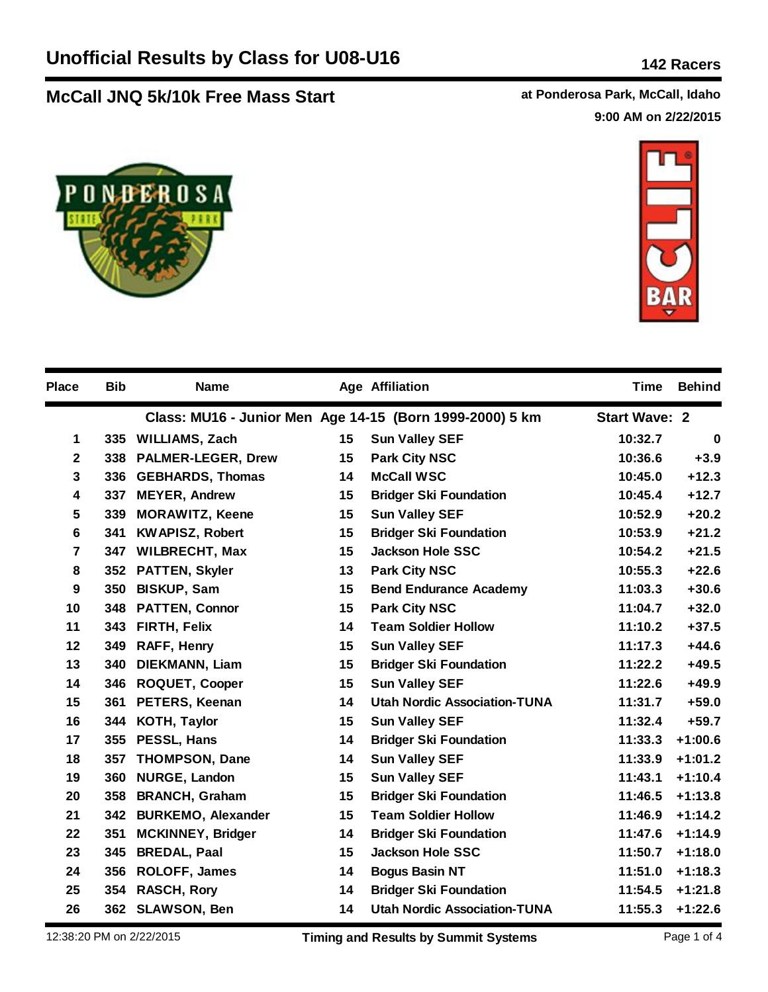## **McCall JNQ 5k/10k Free Mass Start at Ponderosa Park, McCall, Idaho**

**9:00 AM on 2/22/2015**





| <b>Place</b>     | <b>Bib</b> | <b>Name</b>               |    | <b>Age Affiliation</b>                                   | Time                 | <b>Behind</b> |
|------------------|------------|---------------------------|----|----------------------------------------------------------|----------------------|---------------|
|                  |            |                           |    | Class: MU16 - Junior Men Age 14-15 (Born 1999-2000) 5 km | <b>Start Wave: 2</b> |               |
| 1                |            | 335 WILLIAMS, Zach        | 15 | <b>Sun Valley SEF</b>                                    | 10:32.7              | $\mathbf 0$   |
| $\mathbf 2$      | 338        | <b>PALMER-LEGER, Drew</b> | 15 | <b>Park City NSC</b>                                     | 10:36.6              | $+3.9$        |
| 3                | 336        | <b>GEBHARDS, Thomas</b>   | 14 | <b>McCall WSC</b>                                        | 10:45.0              | $+12.3$       |
| 4                | 337        | <b>MEYER, Andrew</b>      | 15 | <b>Bridger Ski Foundation</b>                            | 10:45.4              | $+12.7$       |
| 5                | 339        | <b>MORAWITZ, Keene</b>    | 15 | <b>Sun Valley SEF</b>                                    | 10:52.9              | $+20.2$       |
| 6                | 341        | <b>KWAPISZ, Robert</b>    | 15 | <b>Bridger Ski Foundation</b>                            | 10:53.9              | $+21.2$       |
| $\overline{7}$   |            | 347 WILBRECHT, Max        | 15 | <b>Jackson Hole SSC</b>                                  | 10:54.2              | $+21.5$       |
| 8                |            | 352 PATTEN, Skyler        | 13 | <b>Park City NSC</b>                                     | 10:55.3              | $+22.6$       |
| $\boldsymbol{9}$ | 350        | <b>BISKUP, Sam</b>        | 15 | <b>Bend Endurance Academy</b>                            | 11:03.3              | $+30.6$       |
| 10               | 348        | <b>PATTEN, Connor</b>     | 15 | <b>Park City NSC</b>                                     | 11:04.7              | $+32.0$       |
| 11               |            | 343 FIRTH, Felix          | 14 | <b>Team Soldier Hollow</b>                               | 11:10.2              | $+37.5$       |
| $12 \,$          | 349        | <b>RAFF, Henry</b>        | 15 | <b>Sun Valley SEF</b>                                    | 11:17.3              | $+44.6$       |
| 13               | 340        | DIEKMANN, Liam            | 15 | <b>Bridger Ski Foundation</b>                            | 11:22.2              | $+49.5$       |
| 14               | 346        | <b>ROQUET, Cooper</b>     | 15 | <b>Sun Valley SEF</b>                                    | 11:22.6              | $+49.9$       |
| 15               | 361        | <b>PETERS, Keenan</b>     | 14 | <b>Utah Nordic Association-TUNA</b>                      | 11:31.7              | $+59.0$       |
| 16               | 344        | <b>KOTH, Taylor</b>       | 15 | <b>Sun Valley SEF</b>                                    | 11:32.4              | $+59.7$       |
| 17               | 355        | PESSL, Hans               | 14 | <b>Bridger Ski Foundation</b>                            | 11:33.3              | $+1:00.6$     |
| 18               | 357        | <b>THOMPSON, Dane</b>     | 14 | <b>Sun Valley SEF</b>                                    | 11:33.9              | $+1:01.2$     |
| 19               | 360        | NURGE, Landon             | 15 | <b>Sun Valley SEF</b>                                    | 11:43.1              | $+1:10.4$     |
| 20               | 358        | <b>BRANCH, Graham</b>     | 15 | <b>Bridger Ski Foundation</b>                            | 11:46.5              | $+1:13.8$     |
| 21               | 342        | <b>BURKEMO, Alexander</b> | 15 | <b>Team Soldier Hollow</b>                               | 11:46.9              | $+1:14.2$     |
| 22               | 351        | <b>MCKINNEY, Bridger</b>  | 14 | <b>Bridger Ski Foundation</b>                            | 11:47.6              | $+1:14.9$     |
| 23               | 345        | <b>BREDAL, Paal</b>       | 15 | <b>Jackson Hole SSC</b>                                  | 11:50.7              | $+1:18.0$     |
| 24               | 356        | <b>ROLOFF, James</b>      | 14 | <b>Bogus Basin NT</b>                                    | 11:51.0              | $+1:18.3$     |
| 25               | 354        | <b>RASCH, Rory</b>        | 14 | <b>Bridger Ski Foundation</b>                            | 11:54.5              | $+1:21.8$     |
| 26               |            | 362 SLAWSON, Ben          | 14 | <b>Utah Nordic Association-TUNA</b>                      | 11:55.3              | $+1:22.6$     |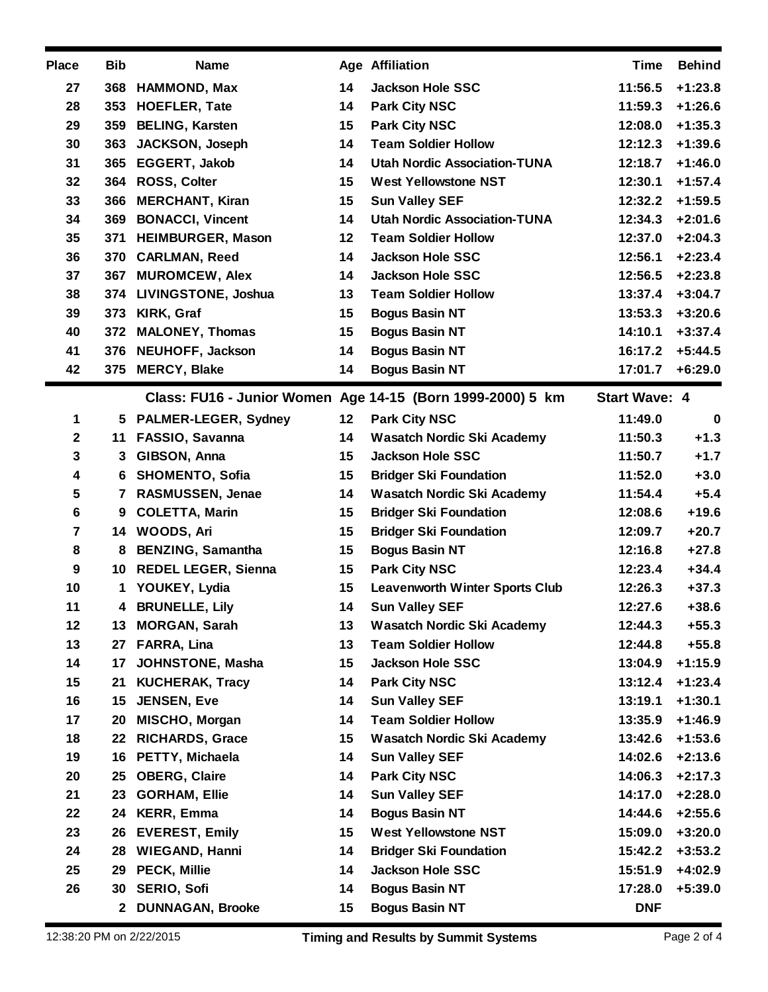| <b>Place</b>     | <b>Bib</b> | <b>Name</b>                |    | <b>Age Affiliation</b>                                     | <b>Time</b>          | <b>Behind</b> |
|------------------|------------|----------------------------|----|------------------------------------------------------------|----------------------|---------------|
| 27               | 368        | <b>HAMMOND, Max</b>        | 14 | <b>Jackson Hole SSC</b>                                    | 11:56.5              | $+1:23.8$     |
| 28               | 353        | <b>HOEFLER, Tate</b>       | 14 | <b>Park City NSC</b>                                       | 11:59.3              | $+1:26.6$     |
| 29               | 359        | <b>BELING, Karsten</b>     | 15 | <b>Park City NSC</b>                                       | 12:08.0              | $+1:35.3$     |
| 30               | 363        | <b>JACKSON, Joseph</b>     | 14 | <b>Team Soldier Hollow</b>                                 | 12:12.3              | $+1:39.6$     |
| 31               |            | 365 EGGERT, Jakob          | 14 | <b>Utah Nordic Association-TUNA</b>                        | 12:18.7              | $+1:46.0$     |
| 32               | 364        | <b>ROSS, Colter</b>        | 15 | <b>West Yellowstone NST</b>                                | 12:30.1              | $+1:57.4$     |
| 33               | 366        | <b>MERCHANT, Kiran</b>     | 15 | <b>Sun Valley SEF</b>                                      | 12:32.2              | $+1:59.5$     |
| 34               | 369        | <b>BONACCI, Vincent</b>    | 14 | <b>Utah Nordic Association-TUNA</b>                        | 12:34.3              | $+2:01.6$     |
| 35               | 371        | <b>HEIMBURGER, Mason</b>   | 12 | <b>Team Soldier Hollow</b>                                 | 12:37.0              | $+2:04.3$     |
| 36               | 370        | <b>CARLMAN, Reed</b>       | 14 | <b>Jackson Hole SSC</b>                                    | 12:56.1              | $+2:23.4$     |
| 37               | 367        | <b>MUROMCEW, Alex</b>      | 14 | <b>Jackson Hole SSC</b>                                    | 12:56.5              | $+2:23.8$     |
| 38               | 374        | <b>LIVINGSTONE, Joshua</b> | 13 | <b>Team Soldier Hollow</b>                                 | 13:37.4              | $+3:04.7$     |
| 39               | 373        | KIRK, Graf                 | 15 | <b>Bogus Basin NT</b>                                      | 13:53.3              | $+3:20.6$     |
| 40               | 372        | <b>MALONEY, Thomas</b>     | 15 | <b>Bogus Basin NT</b>                                      | 14:10.1              | $+3:37.4$     |
| 41               | 376        | <b>NEUHOFF, Jackson</b>    | 14 | <b>Bogus Basin NT</b>                                      | 16:17.2              | $+5:44.5$     |
| 42               | 375        | <b>MERCY, Blake</b>        | 14 | <b>Bogus Basin NT</b>                                      | 17:01.7              | $+6:29.0$     |
|                  |            |                            |    | Class: FU16 - Junior Women Age 14-15 (Born 1999-2000) 5 km | <b>Start Wave: 4</b> |               |
| 1                |            | 5 PALMER-LEGER, Sydney     | 12 | <b>Park City NSC</b>                                       | 11:49.0              | $\mathbf 0$   |
| $\mathbf{2}$     | 11         | FASSIO, Savanna            | 14 | <b>Wasatch Nordic Ski Academy</b>                          | 11:50.3              | $+1.3$        |
| 3                | 3          | GIBSON, Anna               | 15 | <b>Jackson Hole SSC</b>                                    | 11:50.7              | $+1.7$        |
| 4                | 6          | <b>SHOMENTO, Sofia</b>     | 15 | <b>Bridger Ski Foundation</b>                              | 11:52.0              | $+3.0$        |
| 5                | 7          | RASMUSSEN, Jenae           | 14 | <b>Wasatch Nordic Ski Academy</b>                          | 11:54.4              | $+5.4$        |
| $6\phantom{1}6$  | 9          | <b>COLETTA, Marin</b>      | 15 | <b>Bridger Ski Foundation</b>                              | 12:08.6              | $+19.6$       |
| 7                |            | 14 WOODS, Ari              | 15 | <b>Bridger Ski Foundation</b>                              | 12:09.7              | $+20.7$       |
| 8                | 8          | <b>BENZING, Samantha</b>   | 15 | <b>Bogus Basin NT</b>                                      | 12:16.8              | $+27.8$       |
| $\boldsymbol{9}$ |            | 10 REDEL LEGER, Sienna     | 15 | <b>Park City NSC</b>                                       | 12:23.4              | $+34.4$       |
| 10               | 1          | YOUKEY, Lydia              | 15 | <b>Leavenworth Winter Sports Club</b>                      | 12:26.3              | $+37.3$       |
| 11               | 4          | <b>BRUNELLE, Lily</b>      | 14 | <b>Sun Valley SEF</b>                                      | 12:27.6              | $+38.6$       |
| 12               |            | 13 MORGAN, Sarah           | 13 | <b>Wasatch Nordic Ski Academy</b>                          | 12:44.3              | $+55.3$       |
| 13               | 27         | <b>FARRA, Lina</b>         | 13 | <b>Team Soldier Hollow</b>                                 | 12:44.8              | $+55.8$       |
| 14               | 17         | JOHNSTONE, Masha           | 15 | <b>Jackson Hole SSC</b>                                    | 13:04.9              | $+1:15.9$     |
| 15               | 21         | <b>KUCHERAK, Tracy</b>     | 14 | <b>Park City NSC</b>                                       | 13:12.4              | $+1:23.4$     |
| 16               | 15         | <b>JENSEN, Eve</b>         | 14 | <b>Sun Valley SEF</b>                                      | 13:19.1              | $+1:30.1$     |
| 17               | 20         | MISCHO, Morgan             | 14 | <b>Team Soldier Hollow</b>                                 | 13:35.9              | $+1:46.9$     |
| 18               | 22         | <b>RICHARDS, Grace</b>     | 15 | <b>Wasatch Nordic Ski Academy</b>                          | 13:42.6              | $+1:53.6$     |
| 19               |            | 16 PETTY, Michaela         | 14 | <b>Sun Valley SEF</b>                                      | 14:02.6              | $+2:13.6$     |
| 20               | 25         | <b>OBERG, Claire</b>       | 14 | <b>Park City NSC</b>                                       | 14:06.3              | $+2:17.3$     |
| 21               | 23         | <b>GORHAM, Ellie</b>       | 14 | <b>Sun Valley SEF</b>                                      | 14:17.0              | $+2:28.0$     |
| 22               | 24         | <b>KERR, Emma</b>          | 14 | <b>Bogus Basin NT</b>                                      | 14:44.6              | $+2:55.6$     |
| 23               | 26         | <b>EVEREST, Emily</b>      | 15 | <b>West Yellowstone NST</b>                                | 15:09.0              | $+3:20.0$     |
| 24               | 28         | <b>WIEGAND, Hanni</b>      | 14 | <b>Bridger Ski Foundation</b>                              | 15:42.2              | $+3:53.2$     |
| 25               | 29         | <b>PECK, Millie</b>        | 14 | <b>Jackson Hole SSC</b>                                    | 15:51.9              | $+4:02.9$     |
| 26               | 30         | <b>SERIO, Sofi</b>         | 14 | <b>Bogus Basin NT</b>                                      | 17:28.0              | $+5:39.0$     |
|                  |            | 2 DUNNAGAN, Brooke         | 15 | <b>Bogus Basin NT</b>                                      | <b>DNF</b>           |               |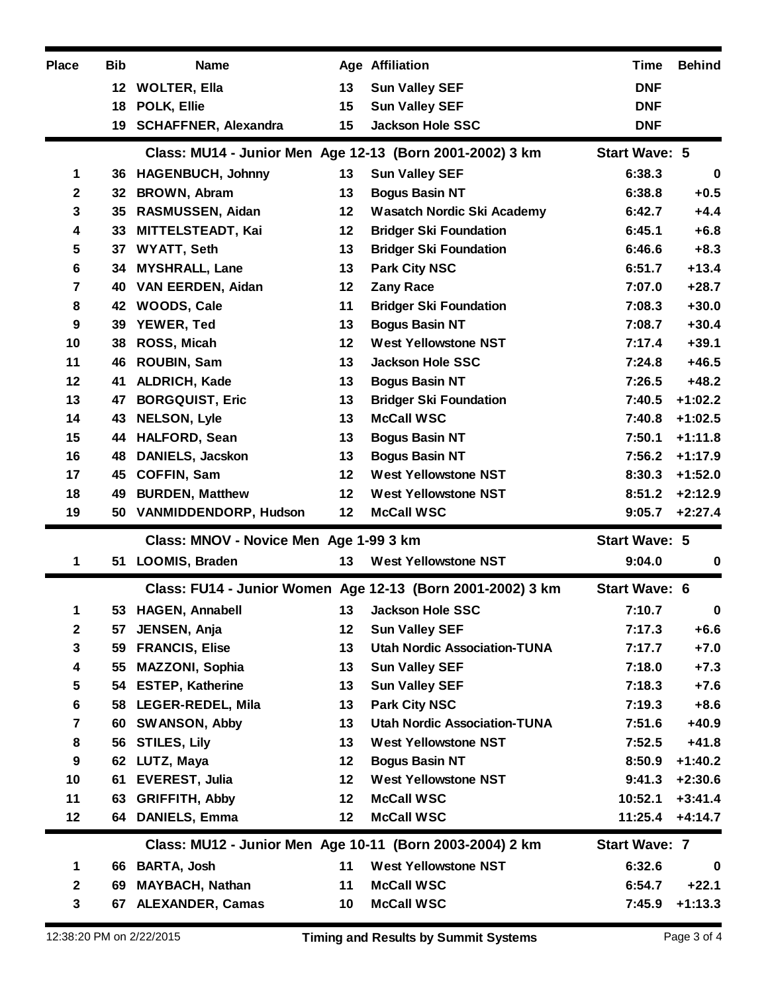| <b>Place</b>     | <b>Bib</b> | <b>Name</b>                            |         | <b>Age Affiliation</b>                                     | <b>Time</b>          | <b>Behind</b> |
|------------------|------------|----------------------------------------|---------|------------------------------------------------------------|----------------------|---------------|
|                  | $12 \,$    | <b>WOLTER, Ella</b>                    | 13      | <b>Sun Valley SEF</b>                                      | <b>DNF</b>           |               |
|                  | 18         | POLK, Ellie                            | 15      | <b>Sun Valley SEF</b>                                      | <b>DNF</b>           |               |
|                  | 19         | <b>SCHAFFNER, Alexandra</b>            | 15      | <b>Jackson Hole SSC</b>                                    | <b>DNF</b>           |               |
|                  |            |                                        |         | Class: MU14 - Junior Men Age 12-13 (Born 2001-2002) 3 km   | <b>Start Wave: 5</b> |               |
| 1                |            | 36 HAGENBUCH, Johnny                   | 13      | <b>Sun Valley SEF</b>                                      | 6:38.3               | $\bf{0}$      |
| $\mathbf{2}$     | 32         | <b>BROWN, Abram</b>                    | 13      | <b>Bogus Basin NT</b>                                      | 6:38.8               | $+0.5$        |
| 3                | 35         | RASMUSSEN, Aidan                       | 12      | <b>Wasatch Nordic Ski Academy</b>                          | 6:42.7               | $+4.4$        |
| 4                | 33         | MITTELSTEADT, Kai                      | 12      | <b>Bridger Ski Foundation</b>                              | 6:45.1               | $+6.8$        |
| 5                | 37         | <b>WYATT, Seth</b>                     | 13      | <b>Bridger Ski Foundation</b>                              | 6:46.6               | $+8.3$        |
| $6\phantom{1}6$  | 34         | <b>MYSHRALL, Lane</b>                  | 13      | <b>Park City NSC</b>                                       | 6:51.7               | $+13.4$       |
| 7                | 40         | <b>VAN EERDEN, Aidan</b>               | 12      | <b>Zany Race</b>                                           | 7:07.0               | $+28.7$       |
| 8                | 42         | <b>WOODS, Cale</b>                     | 11      | <b>Bridger Ski Foundation</b>                              | 7:08.3               | $+30.0$       |
| 9                | 39         | YEWER, Ted                             | 13      | <b>Bogus Basin NT</b>                                      | 7:08.7               | $+30.4$       |
| 10               | 38         | ROSS, Micah                            | 12      | <b>West Yellowstone NST</b>                                | 7:17.4               | $+39.1$       |
| 11               | 46         | ROUBIN, Sam                            | 13      | <b>Jackson Hole SSC</b>                                    | 7:24.8               | $+46.5$       |
| 12               | 41         | ALDRICH, Kade                          | 13      | <b>Bogus Basin NT</b>                                      | 7:26.5               | $+48.2$       |
| 13               | 47         | <b>BORGQUIST, Eric</b>                 | 13      | <b>Bridger Ski Foundation</b>                              | 7:40.5               | $+1:02.2$     |
| 14               | 43         | <b>NELSON, Lyle</b>                    | 13      | <b>McCall WSC</b>                                          | 7:40.8               | $+1:02.5$     |
| 15               | 44         | <b>HALFORD, Sean</b>                   | 13      | <b>Bogus Basin NT</b>                                      | 7:50.1               | $+1:11.8$     |
| 16               | 48         | <b>DANIELS, Jacskon</b>                | 13      | <b>Bogus Basin NT</b>                                      | 7:56.2               | $+1:17.9$     |
| 17               | 45         | <b>COFFIN, Sam</b>                     | 12      | <b>West Yellowstone NST</b>                                | 8:30.3               | $+1:52.0$     |
| 18               | 49         | <b>BURDEN, Matthew</b>                 | 12      | <b>West Yellowstone NST</b>                                | 8:51.2               | $+2:12.9$     |
|                  |            |                                        |         |                                                            |                      |               |
| 19               | 50         | <b>VANMIDDENDORP, Hudson</b>           | 12      | <b>McCall WSC</b>                                          | 9:05.7               | $+2:27.4$     |
|                  |            | Class: MNOV - Novice Men Age 1-99 3 km |         |                                                            | <b>Start Wave: 5</b> |               |
| 1                | 51         | LOOMIS, Braden                         | 13      | <b>West Yellowstone NST</b>                                | 9:04.0               | 0             |
|                  |            |                                        |         | Class: FU14 - Junior Women Age 12-13 (Born 2001-2002) 3 km | <b>Start Wave: 6</b> |               |
| 1                |            | 53 HAGEN, Annabell                     |         | 13 Jackson Hole SSC                                        | 7:10.7               | $\mathbf 0$   |
| $\mathbf{2}$     | 57         | JENSEN, Anja                           | 12      | <b>Sun Valley SEF</b>                                      | 7:17.3               | $+6.6$        |
| $\mathbf 3$      | 59         | <b>FRANCIS, Elise</b>                  | 13      | <b>Utah Nordic Association-TUNA</b>                        | 7:17.7               | $+7.0$        |
| 4                | 55         | <b>MAZZONI, Sophia</b>                 | 13      | <b>Sun Valley SEF</b>                                      | 7:18.0               | $+7.3$        |
| 5                | 54         | <b>ESTEP, Katherine</b>                | 13      | <b>Sun Valley SEF</b>                                      | 7:18.3               | $+7.6$        |
| $6\phantom{1}6$  | 58         | LEGER-REDEL, Mila                      | 13      | <b>Park City NSC</b>                                       | 7:19.3               | $+8.6$        |
| 7                | 60         | <b>SWANSON, Abby</b>                   | 13      | <b>Utah Nordic Association-TUNA</b>                        | 7:51.6               | $+40.9$       |
| 8                | 56         | <b>STILES, Lily</b>                    | 13      | <b>West Yellowstone NST</b>                                | 7:52.5               | $+41.8$       |
| $\boldsymbol{9}$ | 62         | LUTZ, Maya                             | 12      | <b>Bogus Basin NT</b>                                      | 8:50.9               | $+1:40.2$     |
| 10               | 61         | <b>EVEREST, Julia</b>                  | $12 \,$ | <b>West Yellowstone NST</b>                                | 9:41.3               | $+2:30.6$     |
| 11               | 63         | <b>GRIFFITH, Abby</b>                  | 12      | <b>McCall WSC</b>                                          | 10:52.1              | $+3:41.4$     |
| 12               | 64         | <b>DANIELS, Emma</b>                   | 12      | <b>McCall WSC</b>                                          | 11:25.4              |               |
|                  |            |                                        |         | Class: MU12 - Junior Men Age 10-11 (Born 2003-2004) 2 km   | <b>Start Wave: 7</b> | $+4:14.7$     |
| 1                |            | 66 BARTA, Josh                         | 11      | <b>West Yellowstone NST</b>                                | 6:32.6               | 0             |
| $\mathbf{2}$     | 69         | <b>MAYBACH, Nathan</b>                 | 11      | <b>McCall WSC</b>                                          | 6:54.7               | $+22.1$       |